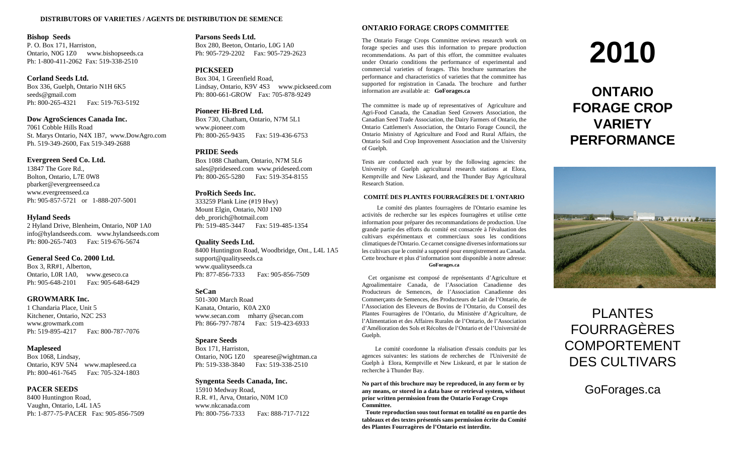#### **DISTRIBUTORS OF VARIETIES / AGENTS DE DISTRIBUTION DE SEMENCE**

#### **Bishop Seeds**

P. O. Box 171, Harriston, Ontario, N0G 1Z0 www.bishopseeds.ca Ph: 1-800-411-2062 Fax: 519-338-2510

#### **Corland Seeds Ltd.**

Box 336, Guelph, Ontario N1H 6K5 seeds@gmail.com Ph: 800-265-4321 Fax: 519-763-5192

#### **Dow AgroSciences Canada Inc.**

7061 Cobble Hills Road St. Marys Ontario, N4X 1B7, www.DowAgro.com Ph. 519-349-2600, Fax 519-349-2688

#### **Evergreen Seed Co. Ltd.**

13847 The Gore Rd., Bolton, Ontario, L7E 0W8 pbarker@evergreenseed.ca www.evergreenseed.ca Ph: 905-857-5721 or 1-888-207-5001

#### **Hyland Seeds**

2 Hyland Drive, Blenheim, Ontario, N0P 1A0 info@hylandseeds.com. www.hylandseeds.com Ph: 800-265-7403 Fax: 519-676-5674

#### **General Seed Co. 2000 Ltd.**

Box 3, RR#1, Alberton, Ontario, L0R 1A0, www.geseco.ca Ph: 905-648-2101 Fax: 905-648-6429

#### **GROWMARK Inc.**

1 Chandaria Place, Unit 5 Kitchener, Ontario, N2C 2S3 www.growmark.com Ph: 519-895-4217 Fax: 800-787-7076

#### **Mapleseed**

Box 1068, Lindsay, Ontario, K9V 5N4 www.mapleseed.ca Ph: 800-461-7645 Fax: 705-324-1803

#### **PACER SEEDS**

8400 Huntington Road, Vaughn, Ontario, L4L 1A5 Ph: 1-877-75-PACER Fax: 905-856-7509

#### **Parsons Seeds Ltd.**

Box 280, Beeton, Ontario, L0G 1A0 Ph: 905-729-2202 Fax: 905-729-2623

#### **PICKSEED**

Box 304, 1 Greenfield Road, Lindsay, Ontario, K9V 4S3 www.pickseed.com Ph: 800-661-GROW Fax: 705-878-9249

#### **Pioneer Hi-Bred Ltd.**

Box 730, Chatham, Ontario, N7M 5L1 www.pioneer.com Ph: 800-265-9435 Fax: 519-436-6753

#### **PRIDE Seeds**

Box 1088 Chatham, Ontario, N7M 5L6 sales@prideseed.com www.prideseed.com Ph: 800-265-5280 Fax: 519-354-8155

#### **ProRich Seeds Inc.**

333259 Plank Line (#19 Hwy) Mount Elgin, Ontario, N0J 1N0 deb\_prorich@hotmail.com Ph: 519-485-3447 Fax: 519-485-1354

#### **Quality Seeds Ltd.**

8400 Huntington Road, Woodbridge, Ont., L4L 1A5 support@qualityseeds.ca www.qualityseeds.ca Ph: 877-856-7333 Fax: 905-856-7509

#### **SeCan**

501-300 March Road Kanata, Ontario, K0A 2X0 www.secan.com mharry @secan.com Ph: 866-797-7874 Fax: 519-423-6933

#### **Speare Seeds**

Box 171, Harriston, Ontario, N0G 1Z0 spearese@wightman.ca Ph: 519-338-3840 Fax: 519-338-2510

#### **Syngenta Seeds Canada, Inc.**

15910 Medway Road, R.R. #1, Arva, Ontario, N0M 1C0 www.nkcanada.com Ph: 800-756-7333 Fax: 888-717-7122

#### **ONTARIO FORAGE CROPS COMMITTEE**

The Ontario Forage Crops Committee reviews research work on forage species and uses this information to prepare production recommendations. As part of this effort, the committee evaluates under Ontario conditions the performance of experimental and commercial varieties of forages. This brochure summarizes the performance and characteristics of varieties that the committee has supported for registration in Canada. The brochure and further information are available at: **GoForages.ca**

The committee is made up of representatives of Agriculture and Agri-Food Canada, the Canadian Seed Growers Association, the Canadian Seed Trade Association, the Dairy Farmers of Ontario, the Ontario Cattlemen's Association, the Ontario Forage Council, the Ontario Ministry of Agriculture and Food and Rural Affairs, the Ontario Soil and Crop Improvement Association and the University of Guelph.

Tests are conducted each year by the following agencies: the University of Guelph agricultural research stations at Elora, Kemptville and New Liskeard, and the Thunder Bay Agricultural Research Station.

#### **COMITÉ DES PLANTES FOURRAGÈRES DE L'ONTARIO**

Le comité des plantes fourragères de l'Ontario examine les activités de recherche sur les espèces fourragères et utilise cette information pour préparer des recommandations de production. Une grande partie des efforts du comité est consacrée à l'évaluation des cultivars expérimentaux et commerciaux sous les conditions climatiques de l'Ontario. Ce carnet consigne diverses informations sur les cultivars que le comité a supporté pour enregistrement au Canada. Cette brochure et plus d'information sont disponible à notre adresse: **GoForages.ca**

Cet organisme est composé de représentants d'Agriculture et Agroalimentaire Canada, de l'Association Canadienne des Producteurs de Semences, de l'Association Canadienne des Commerçants de Semences, des Producteurs de Lait de l'Ontario, de l'Association des Eleveurs de Bovins de l'Ontario, du Conseil des Plantes Fourragères de l'Ontario, du Ministère d'Agriculture, de l'Alimentation et des Affaires Rurales de l'Ontario, de l'Association d'Amélioration des Sols et Récoltes de l'Ontario et de l'Université de Guelph.

Le comité coordonne la réalisation d'essais conduits par les agences suivantes: les stations de recherches de l'Université de Guelph à Elora, Kemptville et New Liskeard, et par le station de recherche à Thunder Bay.

**No part of this brochure may be reproduced, in any form or by any means, or stored in a data base or retrieval system, without prior written permission from the Ontario Forage Crops Committee.**

**Toute reproduction sous tout format en totalité ou en partie des tableaux et des textes présentés sans permission écrite du Comité des Plantes Fourragères de l'Ontario est interdite.**

# **2010**

# **ONTARIO FORAGE CROP VARIETY PERFORMANCE**



# PLANTES FOURRAGÈRES COMPORTEMENT DES CULTIVARS

GoForages.ca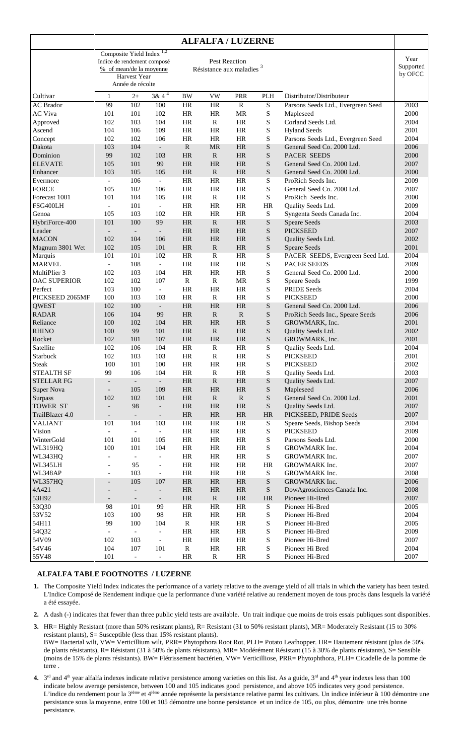| <b>ALFALFA / LUZERNE</b>            |                          |                                                                                      |                                    |                                                              |                           |                 |                            |                                    |                              |
|-------------------------------------|--------------------------|--------------------------------------------------------------------------------------|------------------------------------|--------------------------------------------------------------|---------------------------|-----------------|----------------------------|------------------------------------|------------------------------|
|                                     |                          | Composite Yield Index<br>% of mean/de la moyenne<br>Harvest Year<br>Année de récolte | 1,2<br>Indice de rendement composé | <b>Pest Reaction</b><br>Résistance aux maladies <sup>3</sup> |                           |                 |                            |                                    | Year<br>Supported<br>by OFCC |
| Cultivar                            | $\mathbf{1}$             | $2+$                                                                                 | $3 & 4^4$                          | <b>BW</b>                                                    | <b>VW</b>                 | PRR             | <b>PLH</b>                 | Distributor/Distributeur           |                              |
| <b>AC Brador</b>                    | 99                       | 102                                                                                  | 100                                | HR                                                           | <b>HR</b>                 | $\mathbb{R}$    | $\overline{S}$             | Parsons Seeds Ltd., Evergreen Seed | 2003                         |
| <b>AC Viva</b>                      | 101                      | 101                                                                                  | 102                                | <b>HR</b>                                                    | HR                        | <b>MR</b>       | ${\bf S}$                  | Mapleseed                          | 2000                         |
| Approved                            | 102                      | 103                                                                                  | 104                                | HR                                                           | $\mathbb{R}$              | HR              | ${\bf S}$                  | Corland Seeds Ltd.                 | 2004                         |
| Ascend                              | 104                      | 106                                                                                  | 109                                | <b>HR</b>                                                    | <b>HR</b>                 | HR              | ${\bf S}$                  | <b>Hyland Seeds</b>                | 2001                         |
| Concept                             | 102                      | 102                                                                                  | 106                                | <b>HR</b>                                                    | HR                        | HR              | S                          | Parsons Seeds Ltd., Evergreen Seed | 2004                         |
| Dakota                              | 103                      | 104                                                                                  | $\overline{\phantom{a}}$           | $\mathbf R$                                                  | <b>MR</b>                 | HR              | ${\mathbf S}$              | General Seed Co. 2000 Ltd.         | 2006                         |
| Dominion                            | 99                       | 102                                                                                  | 103                                | <b>HR</b>                                                    | $\mathbb{R}$              | <b>HR</b>       | ${\bf S}$                  | <b>PACER SEEDS</b>                 | 2000                         |
| <b>ELEVATE</b>                      | 105                      | 101                                                                                  | 99                                 | <b>HR</b>                                                    | <b>HR</b>                 | <b>HR</b>       | S                          | General Seed Co. 2000 Ltd.         | 2007                         |
| Enhancer                            | 103                      | 105                                                                                  | 105                                | HR                                                           | $\mathbf R$               | HR              | ${\bf S}$                  | General Seed Co. 2000 Ltd.         | 2000                         |
| Evermore                            | $\overline{\phantom{a}}$ | 106                                                                                  | $\blacksquare$                     | <b>HR</b>                                                    | <b>HR</b>                 | HR              | S                          | ProRich Seeds Inc.                 | 2009                         |
| <b>FORCE</b>                        | 105                      | 102                                                                                  | 106                                | <b>HR</b>                                                    | HR                        | HR              | ${\bf S}$                  | General Seed Co. 2000 Ltd.         | 2007                         |
| Forecast 1001                       | 101                      | 104                                                                                  | 105                                | <b>HR</b>                                                    | $\mathbb{R}$              | HR              | $\mathbf S$                | ProRich Seeds Inc.                 | 2000                         |
| FSG400LH                            | $\overline{\phantom{a}}$ | 101                                                                                  | $\Box$                             | <b>HR</b>                                                    | <b>HR</b>                 | <b>HR</b>       | HR                         | Quality Seeds Ltd.                 | 2009                         |
| Genoa                               | 105                      | 103                                                                                  | 102                                | <b>HR</b>                                                    | <b>HR</b>                 | HR              | S                          | Syngenta Seeds Canada Inc.         | 2004                         |
| HybriForce-400                      | 101                      | 100                                                                                  | 99                                 | <b>HR</b>                                                    | $\mathbb{R}$              | <b>HR</b>       | ${\bf S}$                  | <b>Speare Seeds</b>                | 2003                         |
| Leader                              | $\overline{\phantom{a}}$ | $\blacksquare$                                                                       | $\overline{\phantom{a}}$           | HR                                                           | <b>HR</b>                 | HR              | ${\bf S}$                  | <b>PICKSEED</b>                    | 2007                         |
| <b>MACON</b>                        | 102                      | 104                                                                                  | 106                                | <b>HR</b>                                                    | <b>HR</b>                 | <b>HR</b>       | ${\bf S}$                  | Quality Seeds Ltd.                 | 2002                         |
| Magnum 3801 Wet                     | 102                      | 105                                                                                  | 101                                | <b>HR</b>                                                    | $\mathbb{R}$              | HR              | ${\bf S}$                  | <b>Speare Seeds</b>                | 2001                         |
| Marquis                             | 101                      | 101                                                                                  | 102                                | <b>HR</b><br><b>HR</b>                                       | $\mathbb{R}$              | HR<br><b>HR</b> | S                          | PACER SEEDS, Evergreen Seed Ltd.   | 2004                         |
| <b>MARVEL</b>                       | $\equiv$                 | 108                                                                                  | $\overline{\phantom{a}}$           |                                                              | HR                        |                 | ${\bf S}$                  | <b>PACER SEEDS</b>                 | 2009                         |
| MultiPlier 3<br><b>OAC SUPERIOR</b> | 102<br>102               | 103<br>102                                                                           | 104<br>107                         | <b>HR</b><br>$\mathbb{R}$                                    | <b>HR</b><br>$\mathbb{R}$ | HR<br><b>MR</b> | S<br>S                     | General Seed Co. 2000 Ltd.         | 2000<br>1999                 |
| Perfect                             | 103                      | 100                                                                                  | $\mathcal{L}$                      | HR                                                           | <b>HR</b>                 | HR              | S                          | Speare Seeds<br><b>PRIDE Seeds</b> | 2004                         |
| PICKSEED 2065MF                     | 100                      | 103                                                                                  | 103                                | <b>HR</b>                                                    | $\mathbb{R}$              | <b>HR</b>       | ${\bf S}$                  | <b>PICKSEED</b>                    | 2000                         |
| QWEST                               | 102                      | 100                                                                                  | $\overline{\phantom{a}}$           | <b>HR</b>                                                    | <b>HR</b>                 | <b>HR</b>       | $\mathbf S$                | General Seed Co. 2000 Ltd.         | 2006                         |
| <b>RADAR</b>                        | 106                      | 104                                                                                  | 99                                 | HR                                                           | $\mathbb{R}$              | $\mathbf R$     | S                          | ProRich Seeds Inc., Speare Seeds   | 2006                         |
| Reliance                            | 100                      | 102                                                                                  | 104                                | <b>HR</b>                                                    | <b>HR</b>                 | HR              | ${\bf S}$                  | GROWMARK, Inc.                     | 2001                         |
| <b>RHINO</b>                        | 100                      | 99                                                                                   | 101                                | HR                                                           | $\mathbb{R}$              | <b>HR</b>       | ${\bf S}$                  | Quality Seeds Ltd.                 | 2002                         |
| Rocket                              | 102                      | 101                                                                                  | 107                                | <b>HR</b>                                                    | <b>HR</b>                 | HR              | ${\bf S}$                  | GROWMARK, Inc.                     | 2001                         |
| Satellite                           | 102                      | 106                                                                                  | 104                                | HR                                                           | $\mathbf R$               | HR              | S                          | Quality Seeds Ltd.                 | 2004                         |
| Starbuck                            | 102                      | 103                                                                                  | 103                                | <b>HR</b>                                                    | $\mathbb{R}$              | <b>HR</b>       | ${\bf S}$                  | <b>PICKSEED</b>                    | 2001                         |
| <b>Steak</b>                        | 100                      | 101                                                                                  | 100                                | HR                                                           | <b>HR</b>                 | <b>HR</b>       | S                          | <b>PICKSEED</b>                    | 2002                         |
| <b>STEALTH SF</b>                   | 99                       | 106                                                                                  | 104                                | HR                                                           | R                         | HR              | ${\bf S}$                  | Quality Seeds Ltd.                 | 2003                         |
| <b>STELLAR FG</b>                   | $\overline{\phantom{a}}$ | $\overline{\phantom{a}}$                                                             | $\overline{\phantom{a}}$           | HR                                                           | ${\bf R}$                 | HR              | ${\mathbf S}$              | Quality Seeds Ltd.                 | 2007                         |
| <b>Super Nova</b>                   | $\overline{\phantom{a}}$ | 105                                                                                  | 109                                | HR                                                           | $\rm{HR}$                 | HR              | ${\bf S}$                  | Mapleseed                          | 2006                         |
| <b>Surpass</b>                      | 102                      | 102                                                                                  | 101                                | HR                                                           | ${\bf R}$                 | ${\bf R}$       | ${\bf S}$                  | General Seed Co. 2000 Ltd.         | 2001                         |
| TOWER ST                            | $\overline{\phantom{a}}$ | 98                                                                                   | $\overline{\phantom{a}}$           | HR                                                           | HR                        | HR              | ${\bf S}$                  | Quality Seeds Ltd.                 | 2007                         |
| TrailBlazer 4.0                     | $\overline{\phantom{a}}$ | $\overline{\phantom{a}}$                                                             | $\overline{\phantom{a}}$           | $\rm{HR}$                                                    | $\rm{HR}$                 | $\rm{HR}$       | $\rm{HR}$                  | PICKSEED, PRIDE Seeds              | 2007                         |
| <b>VALIANT</b>                      | 101                      | 104                                                                                  | 103                                | HR                                                           | HR                        | HR              | ${\bf S}$                  | Speare Seeds, Bishop Seeds         | 2004                         |
| Vision                              | $\overline{\phantom{a}}$ | $\overline{\phantom{a}}$                                                             | $\overline{\phantom{a}}$           | $\rm{HR}$                                                    | HR                        | HR              | ${\bf S}$                  | <b>PICKSEED</b>                    | 2009                         |
| WinterGold                          | 101                      | 101                                                                                  | 105                                | HR                                                           | HR                        | HR              | ${\bf S}$                  | Parsons Seeds Ltd.                 | 2000                         |
| WL319HQ                             | 100                      | 101                                                                                  | 104                                | HR                                                           | HR                        | HR              | ${\bf S}$                  | GROWMARK Inc.                      | 2004                         |
| WL343HQ                             | $\overline{\phantom{a}}$ | $\overline{\phantom{a}}$                                                             | $\overline{\phantom{a}}$           | HR                                                           | HR                        | HR              | ${\bf S}$                  | GROWMARK Inc.                      | 2007                         |
| WL345LH                             | $\overline{\phantom{a}}$ | 95                                                                                   | $\overline{\phantom{a}}$           | $\rm{HR}$                                                    | HR                        | HR              | HR                         | GROWMARK Inc.                      | 2007                         |
| WL348AP                             | $\overline{\phantom{a}}$ | 103                                                                                  | $\overline{\phantom{a}}$           | $\rm{HR}$                                                    | HR                        | HR              | ${\bf S}$                  | GROWMARK Inc.                      | 2008                         |
| WL357HQ                             | $\overline{\phantom{a}}$ | 105                                                                                  | 107                                | HR                                                           | $\rm{HR}$                 | HR              | ${\bf S}$                  | GROWMARK Inc.                      | 2006                         |
| 4A421                               |                          | $\overline{\phantom{a}}$                                                             | $\overline{\phantom{a}}$           | HR                                                           | HR                        | HR              | ${\bf S}$                  | DowAgrosciences Canada Inc.        | 2008                         |
| 53H92                               | $\overline{a}$           | $\overline{\phantom{a}}$                                                             | $\overline{\phantom{a}}$           | HR                                                           | ${\bf R}$                 | HR              | $\rm{HR}$                  | Pioneer Hi-Bred                    | 2007                         |
| 53Q30                               | 98                       | 101                                                                                  | 99                                 | HR                                                           | HR                        | HR              | $\ensuremath{\mathcal{S}}$ | Pioneer Hi-Bred                    | 2005                         |
| 53V52                               | 103                      | 100                                                                                  | 98                                 | HR                                                           | HR                        | HR              | ${\bf S}$                  | Pioneer Hi-Bred                    | 2004                         |
| 54H11                               | 99                       | 100                                                                                  | 104                                | R                                                            | HR                        | HR              | ${\bf S}$                  | Pioneer Hi-Bred                    | 2005                         |
| 54Q32                               | $\overline{\phantom{a}}$ | $\overline{\phantom{a}}$                                                             | $\overline{\phantom{a}}$           | $\rm{HR}$                                                    | HR                        | HR              | ${\bf S}$                  | Pioneer Hi-Bred                    | 2009                         |
| 54V09                               | 102                      | 103                                                                                  | $\overline{\phantom{a}}$           | HR                                                           | HR                        | HR              | ${\bf S}$                  | Pioneer Hi-Bred                    | 2007                         |
| 54V46                               | 104                      | 107                                                                                  | 101                                | ${\bf R}$                                                    | HR                        | HR              | ${\bf S}$                  | Pioneer Hi Bred                    | 2004                         |
| 55V48                               | 101                      | $\overline{\phantom{a}}$                                                             | $\blacksquare$                     | HR                                                           | $\mathbb{R}$              | HR              | ${\bf S}$                  | Pioneer Hi-Bred                    | 2007                         |

### **ALFALFA TABLE FOOTNOTES / LUZERNE**

- **1.** The Composite Yield Index indicates the performance of a variety relative to the average yield of all trials in which the variety has been tested. L'Indice Composé de Rendement indique que la performance d'une variété relative au rendement moyen de tous procès dans lesquels la variété a été essayée.
- **2.** A dash (-) indicates that fewer than three public yield tests are available. Un trait indique que moins de trois essais publiques sont disponibles.
- **3.** HR= Highly Resistant (more than 50% resistant plants), R= Resistant (31 to 50% resistant plants), MR= Moderately Resistant (15 to 30% resistant plants), S= Susceptible (less than 15% resistant plants). BW= Bacterial wilt, VW= Verticillium wilt, PRR= Phytopthora Root Rot, PLH= Potato Leafhopper. HR= Hautement résistant (plus de 50%
- de plants résistants), R= Résistant (31 à 50% de plants résistants), MR= Modérément Résistant (15 à 30% de plants résistants), S= Sensible (moins de 15% de plants résistants). BW= Flétrissement bactérien, VW= Verticilliose, PRR= Phytophthora, PLH= Cicadelle de la pomme de terre .
- **4.**  $3<sup>rd</sup>$  and  $4<sup>th</sup>$  year alfalfa indexes indicate relative persistence among varieties on this list. As a guide,  $3<sup>rd</sup>$  and  $4<sup>th</sup>$  year indexes less than 100 indicate below average persistence, between 100 and 105 indicates good persistence, and above 105 indicates very good persistence. L'indice du rendement pour la 3<sup>ième</sup> et 4<sup>ième</sup> année représente la persistance relative parmi les cultivars. Un indice inférieur à 100 démontre une persistance sous la moyenne, entre 100 et 105 démontre une bonne persistance et un indice de 105, ou plus, démontre une très bonne persistance.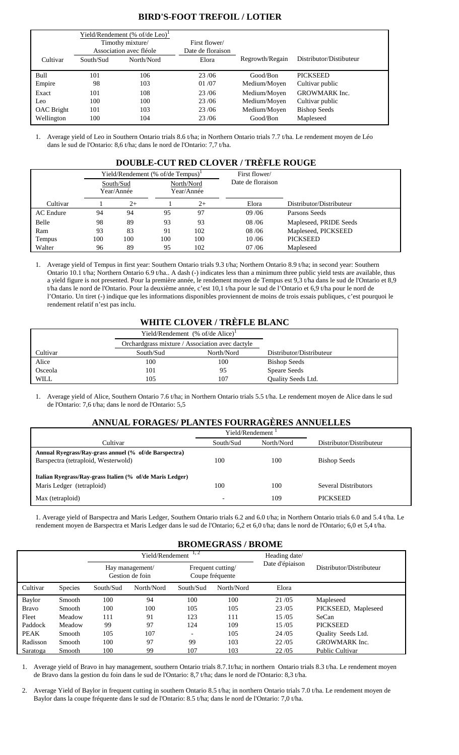# **BIRD'S-FOOT TREFOIL / LOTIER**

|            | Yield/Rendement (% of/de Leo) <sup>1</sup><br>Timothy mixture/<br>Association avec fléole |            | First flower/<br>Date de floraison |                 |                         |
|------------|-------------------------------------------------------------------------------------------|------------|------------------------------------|-----------------|-------------------------|
| Cultivar   | South/Sud                                                                                 | North/Nord | Elora                              | Regrowth/Regain | Distributor/Distibuteur |
| Bull       | 101                                                                                       | 106        | 23/06                              | Good/Bon        | <b>PICKSEED</b>         |
| Empire     | 98                                                                                        | 103        | 01/07                              | Medium/Moyen    | Cultivar public         |
| Exact      | 101                                                                                       | 108        | 23/06                              | Medium/Moyen    | <b>GROWMARK</b> Inc.    |
| Leo        | 100                                                                                       | 100        | 23/06                              | Medium/Moyen    | Cultivar public         |
| OAC Bright | 101                                                                                       | 103        | 23/06                              | Medium/Moyen    | <b>Bishop Seeds</b>     |
| Wellington | 100                                                                                       | 104        | 23/06                              | Good/Bon        | Mapleseed               |

1. Average yield of Leo in Southern Ontario trials 8.6 t/ha; in Northern Ontario trials 7.7 t/ha. Le rendement moyen de Léo dans le sud de l'Ontario: 8,6 t/ha; dans le nord de l'Ontario: 7,7 t/ha.

# **DOUBLE-CUT RED CLOVER / TRÈFLE ROUGE**

|           |     |                         | Yield/Rendement (% of/de Tempus) <sup>1</sup> |      | First flower/     |                          |
|-----------|-----|-------------------------|-----------------------------------------------|------|-------------------|--------------------------|
|           |     | South/Sud<br>Year/Année | North/Nord<br>Year/Année                      |      | Date de floraison |                          |
| Cultivar  |     | $2+$                    |                                               | $2+$ | Elora             | Distributor/Distributeur |
| AC Endure | 94  | 94                      | 95                                            | 97   | 09/06             | Parsons Seeds            |
| Belle     | 98  | 89                      | 93                                            | 93   | 08/06             | Mapleseed, PRIDE Seeds   |
| Ram       | 93  | 83                      | 91                                            | 102  | 08/06             | Mapleseed, PICKSEED      |
| Tempus    | 100 | 100                     | 100                                           | 100  | 10/06             | <b>PICKSEED</b>          |
| Walter    | 96  | 89                      | 95                                            | 102  | 07/06             | Mapleseed                |

1. Average yield of Tempus in first year: Southern Ontario trials 9.3 t/ha; Northern Ontario 8.9 t/ha; in second year: Southern Ontario 10.1 t/ha; Northern Ontario 6.9 t/ha.. A dash (-) indicates less than a minimum three public yield tests are available, thus a yield figure is not presented. Pour la première année, le rendement moyen de Tempus est 9,3 t/ha dans le sud de l'Ontario et 8,9 t/ha dans le nord de l'Ontario. Pour la deuxième année, c'est 10,1 t/ha pour le sud de l'Ontario et 6,9 t/ha pour le nord de l'Ontario. Un tiret (-) indique que les informations disponibles proviennent de moins de trois essais publiques, c'est pourquoi le rendement relatif n'est pas inclu.

# **WHITE CLOVER / TRÈFLE BLANC**

|             |                                                 | Yield/Rendement $%$ of/de Alice) <sup>1</sup> |                           |
|-------------|-------------------------------------------------|-----------------------------------------------|---------------------------|
|             | Orchardgrass mixture / Association avec dactyle |                                               |                           |
| Cultivar    | South/Sud                                       | North/Nord                                    | Distributor/Distributeur  |
| Alice       | 100                                             | 100                                           | <b>Bishop Seeds</b>       |
| Osceola     | 101                                             | 95                                            | Speare Seeds              |
| <b>WILL</b> | 105                                             | 107                                           | <b>Ouality Seeds Ltd.</b> |

1. Average yield of Alice, Southern Ontario 7.6 t/ha; in Northern Ontario trials 5.5 t/ha. Le rendement moyen de Alice dans le sud de l'Ontario: 7,6 t/ha; dans le nord de l'Ontario: 5,5

# **ANNUAL FORAGES/ PLANTES FOURRAGÈRES ANNUELLES**

|                                                           | Yield/Rendement <sup>1</sup> |            |                          |
|-----------------------------------------------------------|------------------------------|------------|--------------------------|
| Cultivar                                                  | South/Sud                    | North/Nord | Distributor/Distributeur |
| Annual Ryegrass/Ray-grass annuel (% of/de Barspectra)     |                              |            |                          |
| Barspectra (tetraploid, Westerwold)                       | 100                          | 100        | <b>Bishop Seeds</b>      |
|                                                           |                              |            |                          |
| Italian Ryegrass/Ray-grass Italien (% of/de Maris Ledger) |                              |            |                          |
| Maris Ledger (tetraploid)                                 | 100                          | 100        | Several Distributors     |
| Max (tetraploid)                                          |                              | 109        | <b>PICKSEED</b>          |

1. Average yield of Barspectra and Maris Ledger, Southern Ontario trials 6.2 and 6.0 t/ha; in Northern Ontario trials 6.0 and 5.4 t/ha. Le rendement moyen de Barspectra et Maris Ledger dans le sud de l'Ontario; 6,2 et 6,0 t/ha; dans le nord de l'Ontario; 6,0 et 5,4 t/ha.

## **BROMEGRASS / BROME**

|              |                |           | Yield/Rendement                    | 1,2                                  | Heading date/ |                 |                           |
|--------------|----------------|-----------|------------------------------------|--------------------------------------|---------------|-----------------|---------------------------|
|              |                |           | Hay management/<br>Gestion de foin | Frequent cutting/<br>Coupe fréquente |               | Date d'épiaison | Distributor/Distributeur  |
| Cultivar     | <b>Species</b> | South/Sud | North/Nord                         | South/Sud                            | North/Nord    | Elora           |                           |
| Baylor       | Smooth         | 100       | 94                                 | 100                                  | 100           | 21/05           | Mapleseed                 |
| <b>Bravo</b> | Smooth         | 100       | 100                                | 105                                  | 105           | 23/05           | PICKSEED, Mapleseed       |
| Fleet        | Meadow         | 111       | 91                                 | 123                                  | 111           | 15/05           | <b>SeCan</b>              |
| Paddock      | Meadow         | 99        | 97                                 | 124                                  | 109           | 15/05           | <b>PICKSEED</b>           |
| <b>PEAK</b>  | Smooth         | 105       | 107                                | $\overline{\phantom{0}}$             | 105           | 24/05           | <b>Ouality Seeds Ltd.</b> |
| Radisson     | Smooth         | 100       | 97                                 | 99                                   | 103           | 22/05           | <b>GROWMARK</b> Inc.      |
| Saratoga     | Smooth         | 100       | 99                                 | 107                                  | 103           | 22/05           | <b>Public Cultivar</b>    |

1. Average yield of Bravo in hay management, southern Ontario trials 8.7.1t/ha; in northern Ontario trials 8.3 t/ha. Le rendement moyen de Bravo dans la gestion du foin dans le sud de l'Ontario: 8,7 t/ha; dans le nord de l'Ontario: 8,3 t/ha.

2. Average Yield of Baylor in frequent cutting in southern Ontario 8.5 t/ha; in northern Ontario trials 7.0 t/ha. Le rendement moyen de Baylor dans la coupe fréquente dans le sud de l'Ontario: 8.5 t/ha; dans le nord de l'Ontario: 7,0 t/ha.